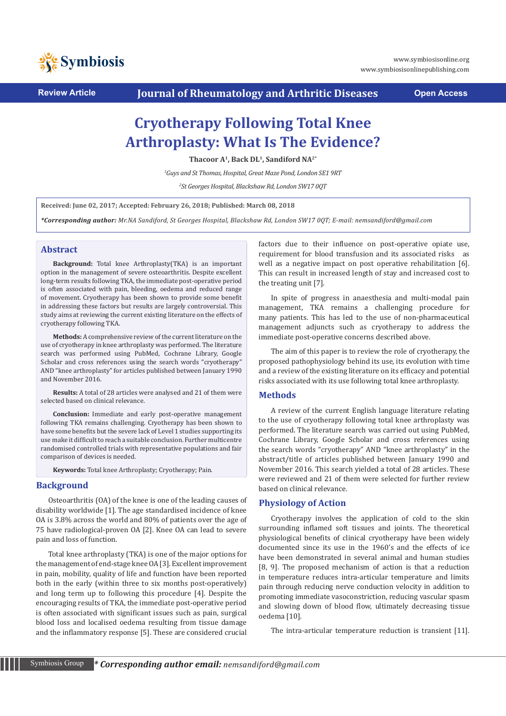

**Review Article Journal of Rheumatology and Arthritic Diseases Open Access**

# **Cryotherapy Following Total Knee Arthroplasty: What Is The Evidence?**

**Thacoor A1, Back DL1, Sandiford NA2\***

*1 Guys and St Thomas, Hospital, Great Maze Pond, London SE1 9RT*

*2 St Georges Hospital, Blackshaw Rd, London SW17 0QT*

**Received: June 02, 2017; Accepted: February 26, 2018; Published: March 08, 2018**

*\*Corresponding author: Mr.NA Sandiford, St Georges Hospital, Blackshaw Rd, London SW17 0QT; E-mail: nemsandiford@gmail.com* 

## **Abstract**

**Background:** Total knee Arthroplasty(TKA) is an important option in the management of severe osteoarthritis. Despite excellent long-term results following TKA, the immediate post-operative period is often associated with pain, bleeding, oedema and reduced range of movement. Cryotherapy has been shown to provide some benefit in addressing these factors but results are largely controversial. This study aims at reviewing the current existing literature on the effects of cryotherapy following TKA.

**Methods:** A comprehensive review of the current literature on the use of cryotherapy in knee arthroplasty was performed. The literature search was performed using PubMed, Cochrane Library, Google Scholar and cross references using the search words "cryotherapy" AND "knee arthroplasty" for articles published between January 1990 and November 2016.

**Results:** A total of 28 articles were analysed and 21 of them were selected based on clinical relevance.

**Conclusion:** Immediate and early post-operative management following TKA remains challenging. Cryotherapy has been shown to have some benefits but the severe lack of Level 1 studies supporting its use make it difficult to reach a suitable conclusion. Further multicentre randomised controlled trials with representative populations and fair comparison of devices is needed.

**Keywords:** Total knee Arthroplasty; Cryotherapy; Pain.

## **Background**

Osteoarthritis (OA) of the knee is one of the leading causes of disability worldwide [1]. The age standardised incidence of knee OA is 3.8% across the world and 80% of patients over the age of 75 have radiological-proven OA [2]. Knee OA can lead to severe pain and loss of function.

Total knee arthroplasty (TKA) is one of the major options for the management of end-stage knee OA [3]. Excellent improvement in pain, mobility, quality of life and function have been reported both in the early (within three to six months post-operatively) and long term up to following this procedure [4]. Despite the encouraging results of TKA, the immediate post-operative period is often associated with significant issues such as pain, surgical blood loss and localised oedema resulting from tissue damage and the inflammatory response [5]. These are considered crucial factors due to their influence on post-operative opiate use, requirement for blood transfusion and its associated risks as well as a negative impact on post operative rehabilitation [6]. This can result in increased length of stay and increased cost to the treating unit [7].

In spite of progress in anaesthesia and multi-modal pain management, TKA remains a challenging procedure for many patients. This has led to the use of non-pharmaceutical management adjuncts such as cryotherapy to address the immediate post-operative concerns described above.

The aim of this paper is to review the role of cryotherapy, the proposed pathophysiology behind its use, its evolution with time and a review of the existing literature on its efficacy and potential risks associated with its use following total knee arthroplasty.

## **Methods**

A review of the current English language literature relating to the use of cryotherapy following total knee arthroplasty was performed. The literature search was carried out using PubMed, Cochrane Library, Google Scholar and cross references using the search words "cryotherapy" AND "knee arthroplasty" in the abstract/title of articles published between January 1990 and November 2016. This search yielded a total of 28 articles. These were reviewed and 21 of them were selected for further review based on clinical relevance.

## **Physiology of Action**

Cryotherapy involves the application of cold to the skin surrounding inflamed soft tissues and joints. The theoretical physiological benefits of clinical cryotherapy have been widely documented since its use in the 1960's and the effects of ice have been demonstrated in several animal and human studies [8, 9]. The proposed mechanism of action is that a reduction in temperature reduces intra-articular temperature and limits pain through reducing nerve conduction velocity in addition to promoting immediate vasoconstriction, reducing vascular spasm and slowing down of blood flow, ultimately decreasing tissue oedema [10].

The intra-articular temperature reduction is transient [11].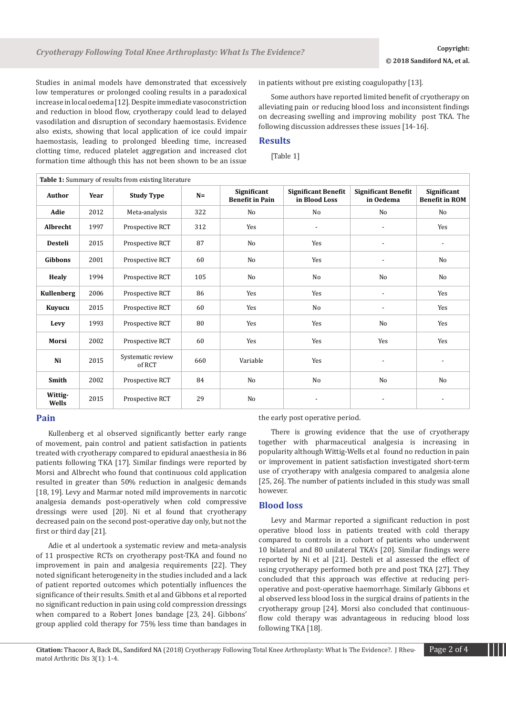Studies in animal models have demonstrated that excessively low temperatures or prolonged cooling results in a paradoxical increase in local oedema [12]. Despite immediate vasoconstriction and reduction in blood flow, cryotherapy could lead to delayed vasodilation and disruption of secondary haemostasis. Evidence also exists, showing that local application of ice could impair haemostasis, leading to prolonged bleeding time, increased clotting time, reduced platelet aggregation and increased clot formation time although this has not been shown to be an issue in patients without pre existing coagulopathy [13].

Some authors have reported limited benefit of cryotherapy on alleviating pain or reducing blood loss and inconsistent findings on decreasing swelling and improving mobility post TKA. The following discussion addresses these issues [14-16].

# **Results**

[Table 1]

| Table 1: Summary of results from existing literature |      |                             |       |                                       |                                             |                                         |                                      |
|------------------------------------------------------|------|-----------------------------|-------|---------------------------------------|---------------------------------------------|-----------------------------------------|--------------------------------------|
| <b>Author</b>                                        | Year | <b>Study Type</b>           | $N =$ | Significant<br><b>Benefit in Pain</b> | <b>Significant Benefit</b><br>in Blood Loss | <b>Significant Benefit</b><br>in Oedema | Significant<br><b>Benefit in ROM</b> |
| Adie                                                 | 2012 | Meta-analysis               | 322   | No                                    | No                                          | N <sub>o</sub>                          | No                                   |
| Albrecht                                             | 1997 | Prospective RCT             | 312   | Yes                                   | $\overline{\phantom{a}}$                    |                                         | Yes                                  |
| Desteli                                              | 2015 | Prospective RCT             | 87    | No                                    | Yes                                         |                                         | $\overline{\phantom{a}}$             |
| <b>Gibbons</b>                                       | 2001 | Prospective RCT             | 60    | No                                    | Yes                                         |                                         | No                                   |
| Healy                                                | 1994 | Prospective RCT             | 105   | No                                    | No                                          | No                                      | No                                   |
| <b>Kullenberg</b>                                    | 2006 | Prospective RCT             | 86    | Yes                                   | Yes                                         |                                         | Yes                                  |
| Kuyucu                                               | 2015 | Prospective RCT             | 60    | Yes                                   | No                                          |                                         | Yes                                  |
| Levy                                                 | 1993 | Prospective RCT             | 80    | Yes                                   | Yes                                         | N <sub>o</sub>                          | Yes                                  |
| Morsi                                                | 2002 | Prospective RCT             | 60    | Yes                                   | Yes                                         | Yes                                     | Yes                                  |
| Ni                                                   | 2015 | Systematic review<br>of RCT | 660   | Variable                              | Yes                                         | $\overline{\phantom{a}}$                | $\qquad \qquad \blacksquare$         |
| Smith                                                | 2002 | Prospective RCT             | 84    | No                                    | No                                          | No                                      | No                                   |
| Wittig-<br>Wells                                     | 2015 | Prospective RCT             | 29    | N <sub>o</sub>                        | $\overline{\phantom{a}}$                    | $\overline{\phantom{a}}$                | $\overline{\phantom{a}}$             |

## **Pain**

Kullenberg et al observed significantly better early range of movement, pain control and patient satisfaction in patients treated with cryotherapy compared to epidural anaesthesia in 86 patients following TKA [17]. Similar findings were reported by Morsi and Albrecht who found that continuous cold application resulted in greater than 50% reduction in analgesic demands [18, 19]. Levy and Marmar noted mild improvements in narcotic analgesia demands post-operatively when cold compressive dressings were used [20]. Ni et al found that cryotherapy decreased pain on the second post-operative day only, but not the first or third day [21].

Adie et al undertook a systematic review and meta-analysis of 11 prospective RCTs on cryotherapy post-TKA and found no improvement in pain and analgesia requirements [22]. They noted significant heterogeneity in the studies included and a lack of patient reported outcomes which potentially influences the significance of their results. Smith et al and Gibbons et al reported no significant reduction in pain using cold compression dressings when compared to a Robert Jones bandage [23, 24]. Gibbons' group applied cold therapy for 75% less time than bandages in the early post operative period.

There is growing evidence that the use of cryotherapy together with pharmaceutical analgesia is increasing in popularity although Wittig-Wells et al found no reduction in pain or improvement in patient satisfaction investigated short-term use of cryotherapy with analgesia compared to analgesia alone [25, 26]. The number of patients included in this study was small however.

## **Blood loss**

Levy and Marmar reported a significant reduction in post operative blood loss in patients treated with cold therapy compared to controls in a cohort of patients who underwent 10 bilateral and 80 unilateral TKA's [20]. Similar findings were reported by Ni et al [21]. Desteli et al assessed the effect of using cryotherapy performed both pre and post TKA [27]. They concluded that this approach was effective at reducing perioperative and post-operative haemorrhage. Similarly Gibbons et al observed less blood loss in the surgical drains of patients in the cryotherapy group [24]. Morsi also concluded that continuousflow cold therapy was advantageous in reducing blood loss following TKA [18].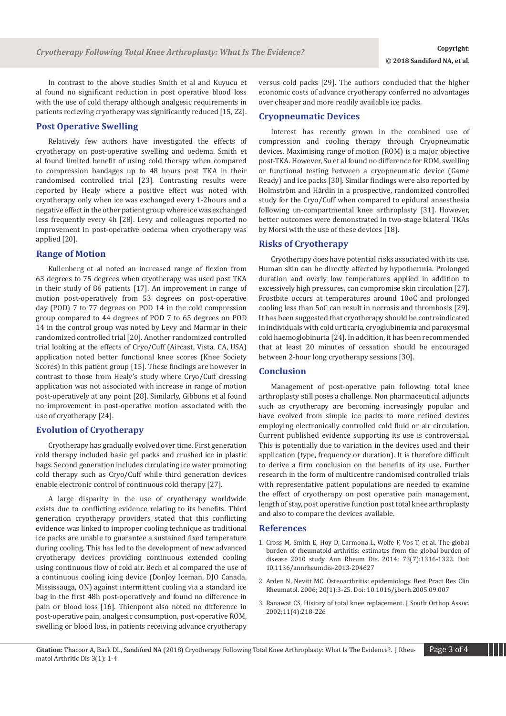In contrast to the above studies Smith et al and Kuyucu et al found no significant reduction in post operative blood loss with the use of cold therapy although analgesic requirements in patients recieving cryotherapy was significantly reduced [15, 22].

## **Post Operative Swelling**

Relatively few authors have investigated the effects of cryotherapy on post-operative swelling and oedema. Smith et al found limited benefit of using cold therapy when compared to compression bandages up to 48 hours post TKA in their randomised controlled trial [23]. Contrasting results were reported by Healy where a positive effect was noted with cryotherapy only when ice was exchanged every 1-2hours and a negative effect in the other patient group where ice was exchanged less frequently every 4h [28]. Levy and colleagues reported no improvement in post-operative oedema when cryotherapy was applied [20].

## **Range of Motion**

Kullenberg et al noted an increased range of flexion from 63 degrees to 75 degrees when cryotherapy was used post TKA in their study of 86 patients [17]. An improvement in range of motion post-operatively from 53 degrees on post-operative day (POD) 7 to 77 degrees on POD 14 in the cold compression group compared to 44 degrees of POD 7 to 65 degrees on POD 14 in the control group was noted by Levy and Marmar in their randomized controlled trial [20]. Another randomized controlled trial looking at the effects of Cryo/Cuff (Aircast, Vista, CA, USA) application noted better functional knee scores (Knee Society Scores) in this patient group [15]. These findings are however in contrast to those from Healy's study where Cryo/Cuff dressing application was not associated with increase in range of motion post-operatively at any point [28]. Similarly, Gibbons et al found no improvement in post-operative motion associated with the use of cryotherapy [24].

## **Evolution of Cryotherapy**

Cryotherapy has gradually evolved over time. First generation cold therapy included basic gel packs and crushed ice in plastic bags. Second generation includes circulating ice water promoting cold therapy such as Cryo/Cuff while third generation devices enable electronic control of continuous cold therapy [27].

A large disparity in the use of cryotherapy worldwide exists due to conflicting evidence relating to its benefits. Third generation cryotherapy providers stated that this conflicting evidence was linked to improper cooling technique as traditional ice packs are unable to guarantee a sustained fixed temperature during cooling. This has led to the development of new advanced cryotherapy devices providing continuous extended cooling using continuous flow of cold air. Bech et al compared the use of a continuous cooling icing device (DonJoy Iceman, DJO Canada, Mississauga, ON) against intermittent cooling via a standard ice bag in the first 48h post-operatively and found no difference in pain or blood loss [16]. Thienpont also noted no difference in post-operative pain, analgesic consumption, post-operative ROM, swelling or blood loss, in patients receiving advance cryotherapy versus cold packs [29]. The authors concluded that the higher economic costs of advance cryotherapy conferred no advantages over cheaper and more readily available ice packs.

## **Cryopneumatic Devices**

Interest has recently grown in the combined use of compression and cooling therapy through Cryopneumatic devices. Maximising range of motion (ROM) is a major objective post-TKA. However, Su et al found no difference for ROM, swelling or functional testing between a cryopneumatic device (Game Ready) and ice packs [30]. Similar findings were also reported by Holmström and Härdin in a prospective, randomized controlled study for the Cryo/Cuff when compared to epidural anaesthesia following un-compartmental knee arthroplasty [31]. However, better outcomes were demonstrated in two-stage bilateral TKAs by Morsi with the use of these devices [18].

#### **Risks of Cryotherapy**

Cryotherapy does have potential risks associated with its use. Human skin can be directly affected by hypothermia. Prolonged duration and overly low temperatures applied in addition to excessively high pressures, can compromise skin circulation [27]. Frostbite occurs at temperatures around 10oC and prolonged cooling less than 5oC can result in necrosis and thrombosis [29]. It has been suggested that cryotherapy should be contraindicated in individuals with cold urticaria, cryoglubinemia and paroxysmal cold haemoglobinuria [24]. In addition, it has been recommended that at least 20 minutes of cessation should be encouraged between 2-hour long cryotherapy sessions [30].

#### **Conclusion**

Management of post-operative pain following total knee arthroplasty still poses a challenge. Non pharmaceutical adjuncts such as cryotherapy are becoming increasingly popular and have evolved from simple ice packs to more refined devices employing electronically controlled cold fluid or air circulation. Current published evidence supporting its use is controversial. This is potentially due to variation in the devices used and their application (type, frequency or duration). It is therefore difficult to derive a firm conclusion on the benefits of its use. Further research in the form of multicentre randomised controlled trials with representative patient populations are needed to examine the effect of cryotherapy on post operative pain management, length of stay, post operative function post total knee arthroplasty and also to compare the devices available.

## **References**

- 1. [Cross M, Smith E, Hoy D, Carmona L, Wolfe F, Vos T, et al. The global](https://www.ncbi.nlm.nih.gov/pubmed/24550173)  [burden of rheumatoid arthritis: estimates from the global burden of](https://www.ncbi.nlm.nih.gov/pubmed/24550173)  [disease 2010 study. Ann Rheum Dis. 2014; 73\(7\):1316-1322. Doi:](https://www.ncbi.nlm.nih.gov/pubmed/24550173)  [10.1136/annrheumdis-2013-204627](https://www.ncbi.nlm.nih.gov/pubmed/24550173)
- 2. [Arden N, Nevitt MC. Osteoarthritis: epidemiology. Best Pract Res Clin](https://www.ncbi.nlm.nih.gov/pubmed/16483904)  [Rheumatol. 2006; 20\(1\):3-25. Doi: 10.1016/j.berh.2005.09.007](https://www.ncbi.nlm.nih.gov/pubmed/16483904)
- 3. [Ranawat CS. History of total knee replacement. J South Orthop Assoc.](https://www.ncbi.nlm.nih.gov/pubmed/12597066)  [2002;11\(4\):218-226](https://www.ncbi.nlm.nih.gov/pubmed/12597066)